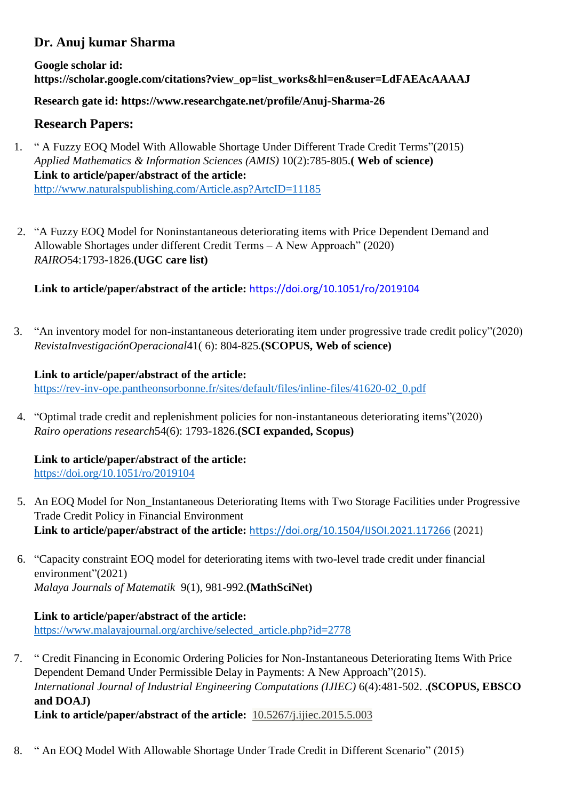# **Dr. Anuj kumar Sharma**

**Google scholar id: https://scholar.google.com/citations?view\_op=list\_works&hl=en&user=LdFAEAcAAAAJ**

**Research gate id: https://www.researchgate.net/profile/Anuj-Sharma-26**

# **Research Papers:**

- 1. " A Fuzzy EOQ Model With Allowable Shortage Under Different Trade Credit Terms"(2015) *Applied Mathematics & Information Sciences (AMIS)* 10(2):785-805.**( Web of science) Link to article/paper/abstract of the article:**  <http://www.naturalspublishing.com/Article.asp?ArtcID=11185>
- 2. "A Fuzzy EOQ Model for Noninstantaneous deteriorating items with Price Dependent Demand and Allowable Shortages under different Credit Terms – A New Approach" (2020) *RAIRO*54:1793-1826.**(UGC care list)**

**Link to article/paper/abstract of the article:** https://doi.org/10.1051/ro/2019104

3. "An inventory model for non-instantaneous deteriorating item under progressive trade credit policy"(2020) *RevistaInvestigaciónOperacional*41( 6): 804-825.**(SCOPUS, Web of science)**

## **Link to article/paper/abstract of the article:**

[https://rev-inv-ope.pantheonsorbonne.fr/sites/default/files/inline-files/41620-02\\_0.pdf](https://rev-inv-ope.pantheonsorbonne.fr/sites/default/files/inline-files/41620-02_0.pdf)

4. "Optimal trade credit and replenishment policies for non-instantaneous deteriorating items"(2020) *Rairo operations research*54(6): 1793-1826.**(SCI expanded, Scopus)**

**Link to article/paper/abstract of the article:**  <https://doi.org/10.1051/ro/2019104>

- 5. An EOQ Model for Non\_Instantaneous Deteriorating Items with Two Storage Facilities under Progressive Trade Credit Policy in Financial Environment **Link to article/paper/abstract of the article:** <https://doi.org/10.1504/IJSOI.2021.117266> (2021)
- 6. "Capacity constraint EOQ model for deteriorating items with two-level trade credit under financial environment"(2021) *Malaya Journals of Matematik* 9(1), 981-992.**(MathSciNet)**

## **Link to article/paper/abstract of the article:**

[https://www.malayajournal.org/archive/selected\\_article.php?id=2778](https://www.malayajournal.org/archive/selected_article.php?id=2778)

- 7. " Credit Financing in Economic Ordering Policies for Non-Instantaneous Deteriorating Items With Price Dependent Demand Under Permissible Delay in Payments: A New Approach"(2015). *International Journal of Industrial Engineering Computations (IJIEC)* 6(4):481-502. .**(SCOPUS, EBSCO and DOAJ) Link to article/paper/abstract of the article:** [10.5267/j.ijiec.2015.5.003](http://dx.doi.org/10.5267/j.ijiec.2015.5.003)
- 8. " An EOQ Model With Allowable Shortage Under Trade Credit in Different Scenario" (2015)